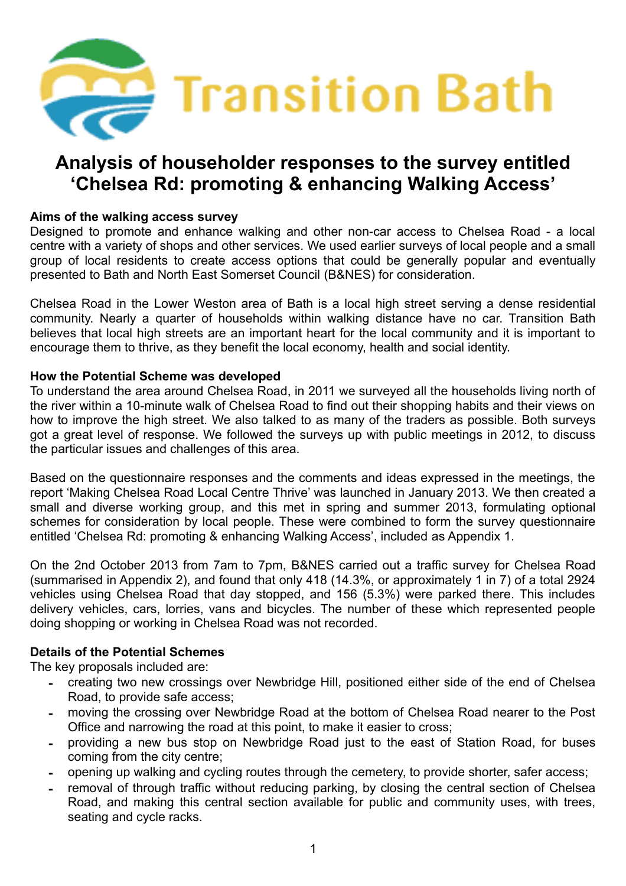

# **Aims of the walking access survey**

Designed to promote and enhance walking and other non-car access to Chelsea Road - a local centre with a variety of shops and other services. We used earlier surveys of local people and a small group of local residents to create access options that could be generally popular and eventually presented to Bath and North East Somerset Council (B&NES) for consideration.

Chelsea Road in the Lower Weston area of Bath is a local high street serving a dense residential community. Nearly a quarter of households within walking distance have no car. Transition Bath believes that local high streets are an important heart for the local community and it is important to encourage them to thrive, as they benefit the local economy, health and social identity.

### **How the Potential Scheme was developed**

To understand the area around Chelsea Road, in 2011 we surveyed all the households living north of the river within a 10-minute walk of Chelsea Road to find out their shopping habits and their views on how to improve the high street. We also talked to as many of the traders as possible. Both surveys got a great level of response. We followed the surveys up with public meetings in 2012, to discuss the particular issues and challenges of this area.

Based on the questionnaire responses and the comments and ideas expressed in the meetings, the report 'Making Chelsea Road Local Centre Thrive' was launched in January 2013. We then created a small and diverse working group, and this met in spring and summer 2013, formulating optional schemes for consideration by local people. These were combined to form the survey questionnaire entitled 'Chelsea Rd: promoting & enhancing Walking Access', included as Appendix 1.

On the 2nd October 2013 from 7am to 7pm, B&NES carried out a traffic survey for Chelsea Road (summarised in Appendix 2), and found that only 418 (14.3%, or approximately 1 in 7) of a total 2924 vehicles using Chelsea Road that day stopped, and 156 (5.3%) were parked there. This includes delivery vehicles, cars, lorries, vans and bicycles. The number of these which represented people doing shopping or working in Chelsea Road was not recorded.

### **Details of the Potential Schemes**

The key proposals included are:

- creating two new crossings over Newbridge Hill, positioned either side of the end of Chelsea Road, to provide safe access;
- moving the crossing over Newbridge Road at the bottom of Chelsea Road nearer to the Post Office and narrowing the road at this point, to make it easier to cross;
- providing a new bus stop on Newbridge Road just to the east of Station Road, for buses coming from the city centre;
- opening up walking and cycling routes through the cemetery, to provide shorter, safer access;
- removal of through traffic without reducing parking, by closing the central section of Chelsea Road, and making this central section available for public and community uses, with trees, seating and cycle racks.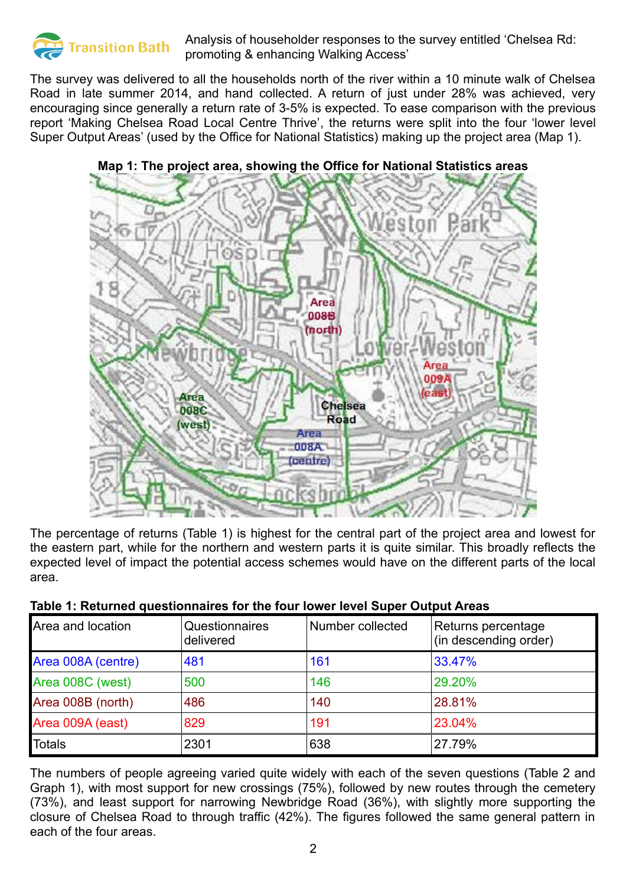

The survey was delivered to all the households north of the river within a 10 minute walk of Chelsea Road in late summer 2014, and hand collected. A return of just under 28% was achieved, very encouraging since generally a return rate of 3-5% is expected. To ease comparison with the previous report 'Making Chelsea Road Local Centre Thrive', the returns were split into the four 'lower level Super Output Areas' (used by the Office for National Statistics) making up the project area (Map 1).



#### **Map 1: The project area, showing the Office for National Statistics areas**

The percentage of returns (Table 1) is highest for the central part of the project area and lowest for the eastern part, while for the northern and western parts it is quite similar. This broadly reflects the expected level of impact the potential access schemes would have on the different parts of the local area.

### **Table 1: Returned questionnaires for the four lower level Super Output Areas**

| Area and location  | <b>Questionnaires</b><br>delivered | Number collected | Returns percentage<br>(in descending order) |
|--------------------|------------------------------------|------------------|---------------------------------------------|
| Area 008A (centre) | 481                                | 161              | 33.47%                                      |
| Area 008C (west)   | 500                                | 146              | 29.20%                                      |
| Area 008B (north)  | 486                                | 140              | 28.81%                                      |
| Area 009A (east)   | 829                                | 191              | 23.04%                                      |
| <b>Totals</b>      | 2301                               | 638              | 27.79%                                      |

The numbers of people agreeing varied quite widely with each of the seven questions (Table 2 and Graph 1), with most support for new crossings (75%), followed by new routes through the cemetery (73%), and least support for narrowing Newbridge Road (36%), with slightly more supporting the closure of Chelsea Road to through traffic (42%). The figures followed the same general pattern in each of the four areas.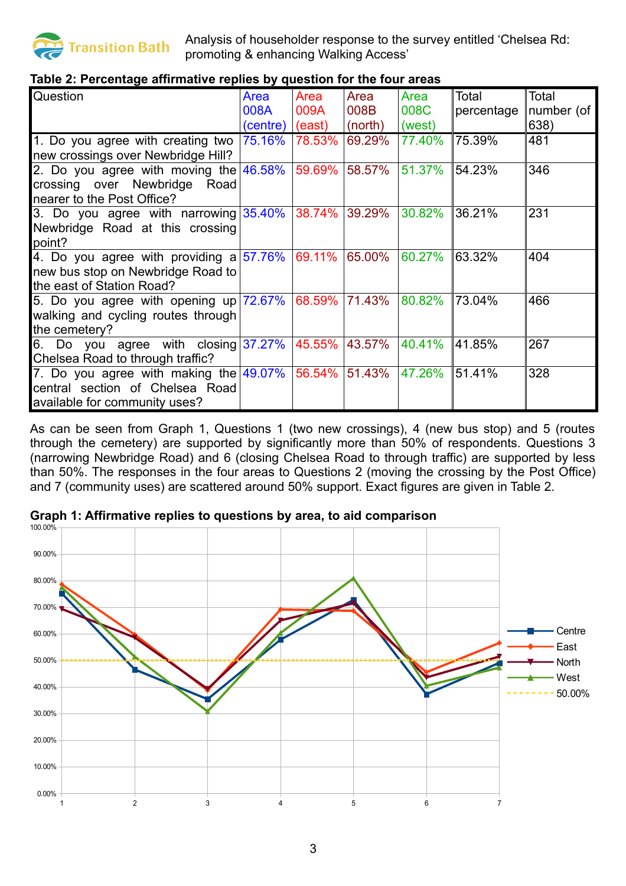

# **Table 2: Percentage affirmative replies by question for the four areas**

| Question                                    | Area        | Area   | Area    | Area   | Total      | Total      |
|---------------------------------------------|-------------|--------|---------|--------|------------|------------|
|                                             | <b>008A</b> | 009A   | 008B    | 008C   | percentage | number (of |
|                                             | (centre)    | (east) | (north) | (west) |            | 638)       |
| 1. Do you agree with creating two $75.16\%$ |             | 78.53% | 69.29%  | 77.40% | 75.39%     | 481        |
| new crossings over Newbridge Hill?          |             |        |         |        |            |            |
| 2. Do you agree with moving the $46.58\%$   |             | 59.69% | 58.57%  | 51.37% | 54.23%     | 346        |
| crossing over Newbridge Road                |             |        |         |        |            |            |
| nearer to the Post Office?                  |             |        |         |        |            |            |
| 3. Do you agree with narrowing $35.40\%$    |             | 38.74% | 39.29%  | 30.82% | 36.21%     | 231        |
| Newbridge Road at this crossing             |             |        |         |        |            |            |
| point?                                      |             |        |         |        |            |            |
| 4. Do you agree with providing a $57.76\%$  |             | 69.11% | 65.00%  | 60.27% | 63.32%     | 404        |
| new bus stop on Newbridge Road to           |             |        |         |        |            |            |
| the east of Station Road?                   |             |        |         |        |            |            |
| 5. Do you agree with opening up $72.67\%$   |             | 68.59% | 71.43%  | 80.82% | 73.04%     | 466        |
| walking and cycling routes through          |             |        |         |        |            |            |
| the cemetery?                               |             |        |         |        |            |            |
| 6. Do you agree with closing $37.27\%$      |             | 45.55% | 43.57%  | 40.41% | 41.85%     | 267        |
| Chelsea Road to through traffic?            |             |        |         |        |            |            |
| 7. Do you agree with making the $49.07\%$   |             | 56.54% | 51.43%  | 47.26% | 51.41%     | 328        |
| central section of Chelsea Road             |             |        |         |        |            |            |
| available for community uses?               |             |        |         |        |            |            |

As can be seen from Graph 1, Questions 1 (two new crossings), 4 (new bus stop) and 5 (routes through the cemetery) are supported by significantly more than 50% of respondents. Questions 3 (narrowing Newbridge Road) and 6 (closing Chelsea Road to through traffic) are supported by less than 50%. The responses in the four areas to Questions 2 (moving the crossing by the Post Office) and 7 (community uses) are scattered around 50% support. Exact figures are given in Table 2.

**Graph 1: Affirmative replies to questions by area, to aid comparison**

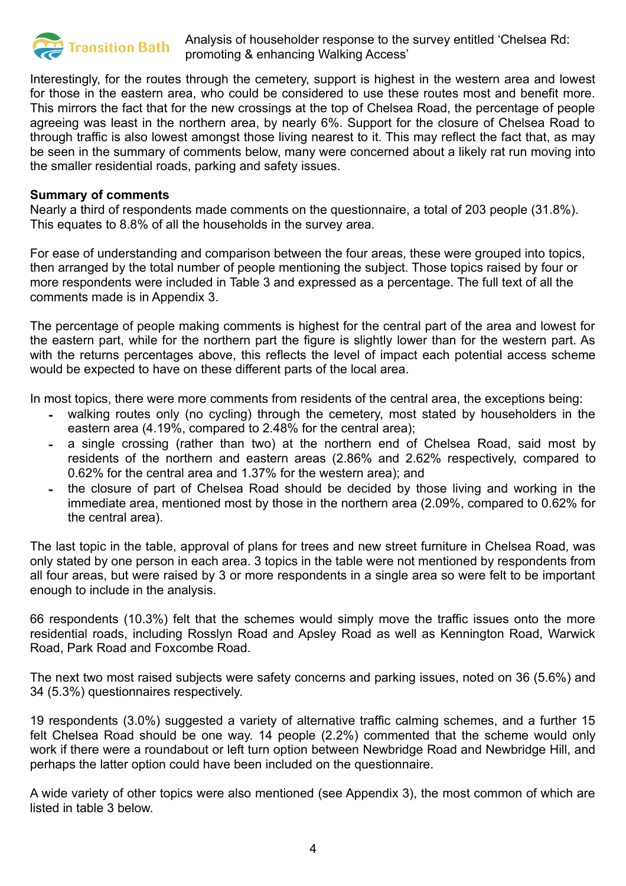

Interestingly, for the routes through the cemetery, support is highest in the western area and lowest for those in the eastern area, who could be considered to use these routes most and benefit more. This mirrors the fact that for the new crossings at the top of Chelsea Road, the percentage of people agreeing was least in the northern area, by nearly 6%. Support for the closure of Chelsea Road to through traffic is also lowest amongst those living nearest to it. This may reflect the fact that, as may be seen in the summary of comments below, many were concerned about a likely rat run moving into the smaller residential roads, parking and safety issues.

#### **Summary of comments**

Nearly a third of respondents made comments on the questionnaire, a total of 203 people (31.8%). This equates to 8.8% of all the households in the survey area.

For ease of understanding and comparison between the four areas, these were grouped into topics, then arranged by the total number of people mentioning the subject. Those topics raised by four or more respondents were included in Table 3 and expressed as a percentage. The full text of all the comments made is in Appendix 3.

The percentage of people making comments is highest for the central part of the area and lowest for the eastern part, while for the northern part the figure is slightly lower than for the western part. As with the returns percentages above, this reflects the level of impact each potential access scheme would be expected to have on these different parts of the local area.

In most topics, there were more comments from residents of the central area, the exceptions being:

- walking routes only (no cycling) through the cemetery, most stated by householders in the eastern area (4.19%, compared to 2.48% for the central area);
- a single crossing (rather than two) at the northern end of Chelsea Road, said most by residents of the northern and eastern areas (2.86% and 2.62% respectively, compared to 0.62% for the central area and 1.37% for the western area); and
- the closure of part of Chelsea Road should be decided by those living and working in the immediate area, mentioned most by those in the northern area (2.09%, compared to 0.62% for the central area).

The last topic in the table, approval of plans for trees and new street furniture in Chelsea Road, was only stated by one person in each area. 3 topics in the table were not mentioned by respondents from all four areas, but were raised by 3 or more respondents in a single area so were felt to be important enough to include in the analysis.

66 respondents (10.3%) felt that the schemes would simply move the traffic issues onto the more residential roads, including Rosslyn Road and Apsley Road as well as Kennington Road, Warwick Road, Park Road and Foxcombe Road.

The next two most raised subjects were safety concerns and parking issues, noted on 36 (5.6%) and 34 (5.3%) questionnaires respectively.

19 respondents (3.0%) suggested a variety of alternative traffic calming schemes, and a further 15 felt Chelsea Road should be one way. 14 people (2.2%) commented that the scheme would only work if there were a roundabout or left turn option between Newbridge Road and Newbridge Hill, and perhaps the latter option could have been included on the questionnaire.

A wide variety of other topics were also mentioned (see Appendix 3), the most common of which are listed in table 3 below.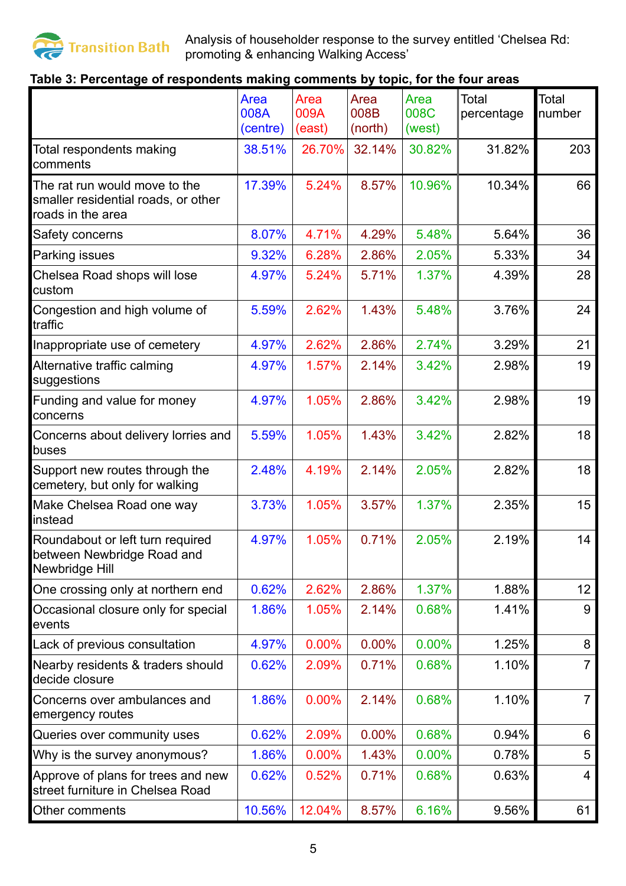

# **Table 3: Percentage of respondents making comments by topic, for the four areas**

|                                                                                           | Area<br>008A<br>(centre) | Area<br>009A<br>(east) | Area<br>008B<br>(north) | Area<br>008C<br>(west) | <b>Total</b><br>percentage | Total<br>number |
|-------------------------------------------------------------------------------------------|--------------------------|------------------------|-------------------------|------------------------|----------------------------|-----------------|
| Total respondents making<br>comments                                                      | 38.51%                   | 26.70%                 | 32.14%                  | 30.82%                 | 31.82%                     | 203             |
| The rat run would move to the<br>smaller residential roads, or other<br>roads in the area | 17.39%                   | 5.24%                  | 8.57%                   | 10.96%                 | 10.34%                     | 66              |
| Safety concerns                                                                           | 8.07%                    | 4.71%                  | 4.29%                   | 5.48%                  | 5.64%                      | 36              |
| Parking issues                                                                            | 9.32%                    | 6.28%                  | 2.86%                   | 2.05%                  | 5.33%                      | 34              |
| Chelsea Road shops will lose<br>custom                                                    | 4.97%                    | 5.24%                  | 5.71%                   | 1.37%                  | 4.39%                      | 28              |
| Congestion and high volume of<br>traffic                                                  | 5.59%                    | 2.62%                  | 1.43%                   | 5.48%                  | 3.76%                      | 24              |
| Inappropriate use of cemetery                                                             | 4.97%                    | 2.62%                  | 2.86%                   | 2.74%                  | 3.29%                      | 21              |
| Alternative traffic calming<br>suggestions                                                | 4.97%                    | 1.57%                  | 2.14%                   | 3.42%                  | 2.98%                      | 19              |
| Funding and value for money<br>concerns                                                   | 4.97%                    | 1.05%                  | 2.86%                   | 3.42%                  | 2.98%                      | 19              |
| Concerns about delivery lorries and<br>buses                                              | 5.59%                    | 1.05%                  | 1.43%                   | 3.42%                  | 2.82%                      | 18              |
| Support new routes through the<br>cemetery, but only for walking                          | 2.48%                    | 4.19%                  | 2.14%                   | 2.05%                  | 2.82%                      | 18              |
| Make Chelsea Road one way<br>instead                                                      | 3.73%                    | 1.05%                  | 3.57%                   | 1.37%                  | 2.35%                      | 15              |
| Roundabout or left turn required<br>between Newbridge Road and<br>Newbridge Hill          | 4.97%                    | 1.05%                  | 0.71%                   | 2.05%                  | 2.19%                      | 14              |
| One crossing only at northern end                                                         | 0.62%                    | 2.62%                  | 2.86%                   | 1.37%                  | 1.88%                      | 12              |
| Occasional closure only for special<br>events                                             | 1.86%                    | 1.05%                  | 2.14%                   | 0.68%                  | 1.41%                      | 9               |
| Lack of previous consultation                                                             | 4.97%                    | $0.00\%$               | 0.00%                   | 0.00%                  | 1.25%                      | 8               |
| Nearby residents & traders should<br>decide closure                                       | 0.62%                    | 2.09%                  | 0.71%                   | 0.68%                  | 1.10%                      | 7               |
| Concerns over ambulances and<br>emergency routes                                          | 1.86%                    | 0.00%                  | 2.14%                   | 0.68%                  | 1.10%                      | $\overline{7}$  |
| Queries over community uses                                                               | 0.62%                    | 2.09%                  | 0.00%                   | 0.68%                  | 0.94%                      | 6               |
| Why is the survey anonymous?                                                              | 1.86%                    | 0.00%                  | 1.43%                   | 0.00%                  | 0.78%                      | 5               |
| Approve of plans for trees and new<br>street furniture in Chelsea Road                    | 0.62%                    | 0.52%                  | 0.71%                   | 0.68%                  | 0.63%                      | 4               |
| Other comments                                                                            | 10.56%                   | 12.04%                 | 8.57%                   | 6.16%                  | 9.56%                      | 61              |